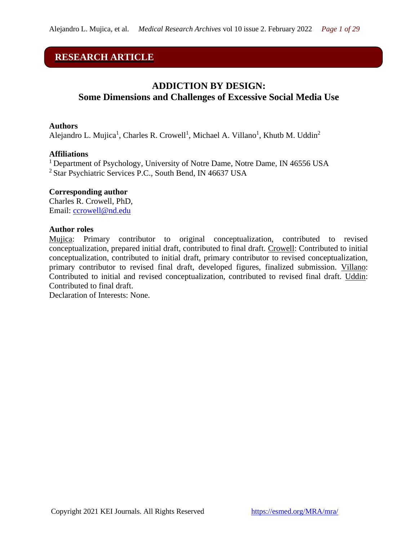# **RESEARCH ARTICLE**

# **ADDICTION BY DESIGN: Some Dimensions and Challenges of Excessive Social Media Use**

#### **Authors**

Alejandro L. Mujica<sup>1</sup>, Charles R. Crowell<sup>1</sup>, Michael A. Villano<sup>1</sup>, Khutb M. Uddin<sup>2</sup>

#### **Affiliations**

<sup>1</sup> Department of Psychology, University of Notre Dame, Notre Dame, IN 46556 USA <sup>2</sup> Star Psychiatric Services P.C., South Bend, IN 46637 USA

#### **Corresponding author**

Charles R. Crowell, PhD, Email: [ccrowell@nd.edu](mailto:ccrowell@nd.edu)

#### **Author roles**

Mujica: Primary contributor to original conceptualization, contributed to revised conceptualization, prepared initial draft, contributed to final draft. Crowell: Contributed to initial conceptualization, contributed to initial draft, primary contributor to revised conceptualization, primary contributor to revised final draft, developed figures, finalized submission. Villano: Contributed to initial and revised conceptualization, contributed to revised final draft. Uddin: Contributed to final draft.

Declaration of Interests: None.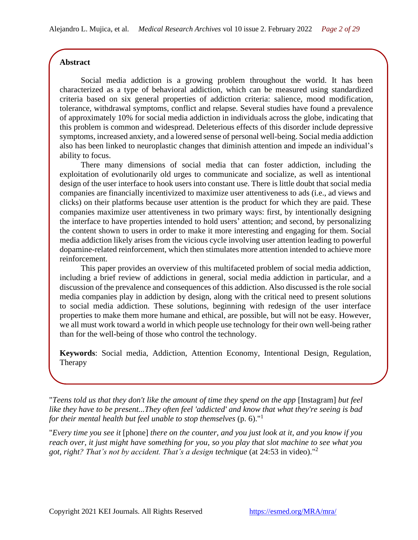# **Abstract**

Social media addiction is a growing problem throughout the world. It has been characterized as a type of behavioral addiction, which can be measured using standardized criteria based on six general properties of addiction criteria: salience, mood modification, tolerance, withdrawal symptoms, conflict and relapse. Several studies have found a prevalence of approximately 10% for social media addiction in individuals across the globe, indicating that this problem is common and widespread. Deleterious effects of this disorder include depressive symptoms, increased anxiety, and a lowered sense of personal well-being. Social media addiction also has been linked to neuroplastic changes that diminish attention and impede an individual's ability to focus.

There many dimensions of social media that can foster addiction, including the exploitation of evolutionarily old urges to communicate and socialize, as well as intentional design of the user interface to hook users into constant use. There is little doubt that social media companies are financially incentivized to maximize user attentiveness to ads (i.e., ad views and clicks) on their platforms because user attention is the product for which they are paid. These companies maximize user attentiveness in two primary ways: first, by intentionally designing the interface to have properties intended to hold users' attention; and second, by personalizing the content shown to users in order to make it more interesting and engaging for them. Social media addiction likely arises from the vicious cycle involving user attention leading to powerful dopamine-related reinforcement, which then stimulates more attention intended to achieve more reinforcement.

This paper provides an overview of this multifaceted problem of social media addiction, including a brief review of addictions in general, social media addiction in particular, and a discussion of the prevalence and consequences of this addiction. Also discussed is the role social media companies play in addiction by design, along with the critical need to present solutions to social media addiction. These solutions, beginning with redesign of the user interface properties to make them more humane and ethical, are possible, but will not be easy. However, we all must work toward a world in which people use technology for their own well-being rather than for the well-being of those who control the technology.

**Keywords**: Social media, Addiction, Attention Economy, Intentional Design, Regulation, Therapy

"*Teens told us that they don't like the amount of time they spend on the app* [Instagram] *but feel like they have to be present...They often feel 'addicted' and know that what they're seeing is bad for their mental health but feel unable to stop themselves* (p. 6)." 1

"*Every time you see it* [phone] *there on the counter, and you just look at it, and you know if you reach over, it just might have something for you, so you play that slot machine to see what you got, right? That's not by accident. That's a design technique* (at 24:53 in video)."<sup>2</sup>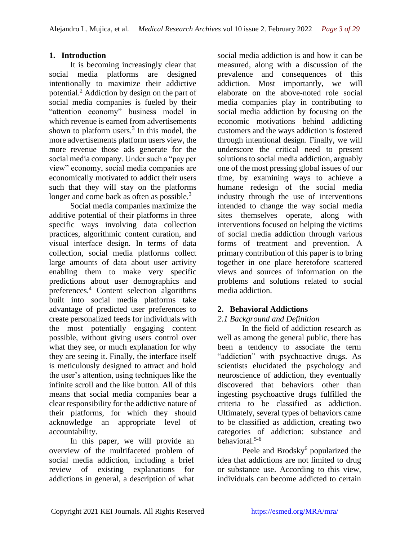### **1. Introduction**

It is becoming increasingly clear that social media platforms are designed intentionally to maximize their addictive potential.<sup>2</sup> Addiction by design on the part of social media companies is fueled by their "attention economy" business model in which revenue is earned from advertisements shown to platform users. $3$  In this model, the more advertisements platform users view, the more revenue those ads generate for the social media company. Under such a "pay per view" economy, social media companies are economically motivated to addict their users such that they will stay on the platforms longer and come back as often as possible.<sup>3</sup>

Social media companies maximize the additive potential of their platforms in three specific ways involving data collection practices, algorithmic content curation, and visual interface design. In terms of data collection, social media platforms collect large amounts of data about user activity enabling them to make very specific predictions about user demographics and preferences.<sup>4</sup> Content selection algorithms built into social media platforms take advantage of predicted user preferences to create personalized feeds for individuals with the most potentially engaging content possible, without giving users control over what they see, or much explanation for why they are seeing it. Finally, the interface itself is meticulously designed to attract and hold the user's attention, using techniques like the infinite scroll and the like button. All of this means that social media companies bear a clear responsibility for the addictive nature of their platforms, for which they should acknowledge an appropriate level of accountability.

In this paper, we will provide an overview of the multifaceted problem of social media addiction, including a brief review of existing explanations for addictions in general, a description of what

social media addiction is and how it can be measured, along with a discussion of the prevalence and consequences of this addiction. Most importantly, we will elaborate on the above-noted role social media companies play in contributing to social media addiction by focusing on the economic motivations behind addicting customers and the ways addiction is fostered through intentional design. Finally, we will underscore the critical need to present solutions to social media addiction, arguably one of the most pressing global issues of our time, by examining ways to achieve a humane redesign of the social media industry through the use of interventions intended to change the way social media sites themselves operate, along with interventions focused on helping the victims of social media addiction through various forms of treatment and prevention. A primary contribution of this paper is to bring together in one place heretofore scattered views and sources of information on the problems and solutions related to social media addiction.

### **2. Behavioral Addictions**

### *2.1 Background and Definition*

In the field of addiction research as well as among the general public, there has been a tendency to associate the term "addiction" with psychoactive drugs. As scientists elucidated the psychology and neuroscience of addiction, they eventually discovered that behaviors other than ingesting psychoactive drugs fulfilled the criteria to be classified as addiction. Ultimately, several types of behaviors came to be classified as addiction, creating two categories of addiction: substance and behavioral. 5-6

Peele and Brodsky<sup>6</sup> popularized the idea that addictions are not limited to drug or substance use. According to this view, individuals can become addicted to certain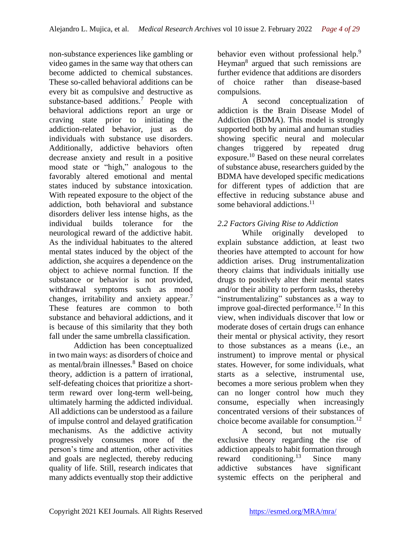non-substance experiences like gambling or video games in the same way that others can become addicted to chemical substances. These so-called behavioral additions can be every bit as compulsive and destructive as substance-based additions.<sup>7</sup> People with behavioral addictions report an urge or craving state prior to initiating the addiction-related behavior, just as do individuals with substance use disorders. Additionally, addictive behaviors often decrease anxiety and result in a positive mood state or "high," analogous to the favorably altered emotional and mental states induced by substance intoxication. With repeated exposure to the object of the addiction, both behavioral and substance disorders deliver less intense highs, as the individual builds tolerance for the neurological reward of the addictive habit. As the individual habituates to the altered mental states induced by the object of the addiction, she acquires a dependence on the object to achieve normal function. If the substance or behavior is not provided, withdrawal symptoms such as mood changes, irritability and anxiety appear.<sup>7</sup> These features are common to both substance and behavioral addictions, and it is because of this similarity that they both fall under the same umbrella classification.

Addiction has been conceptualized in two main ways: as disorders of choice and as mental/brain illnesses.<sup>8</sup> Based on choice theory, addiction is a pattern of irrational, self-defeating choices that prioritize a shortterm reward over long-term well-being, ultimately harming the addicted individual. All addictions can be understood as a failure of impulse control and delayed gratification mechanisms. As the addictive activity progressively consumes more of the person's time and attention, other activities and goals are neglected, thereby reducing quality of life. Still, research indicates that many addicts eventually stop their addictive behavior even without professional help.<sup>9</sup> Heyman<sup>8</sup> argued that such remissions are further evidence that additions are disorders of choice rather than disease-based compulsions.

A second conceptualization of addiction is the Brain Disease Model of Addiction (BDMA). This model is strongly supported both by animal and human studies showing specific neural and molecular changes triggered by repeated drug exposure.<sup>10</sup> Based on these neural correlates of substance abuse, researchers guided by the BDMA have developed specific medications for different types of addiction that are effective in reducing substance abuse and some behavioral addictions.<sup>11</sup>

# *2.2 Factors Giving Rise to Addiction*

While originally developed to explain substance addiction, at least two theories have attempted to account for how addiction arises. Drug instrumentalization theory claims that individuals initially use drugs to positively alter their mental states and/or their ability to perform tasks, thereby "instrumentalizing" substances as a way to improve goal-directed performance.<sup>12</sup> In this view, when individuals discover that low or moderate doses of certain drugs can enhance their mental or physical activity, they resort to those substances as a means (i.e., an instrument) to improve mental or physical states. However, for some individuals, what starts as a selective, instrumental use, becomes a more serious problem when they can no longer control how much they consume, especially when increasingly concentrated versions of their substances of choice become available for consumption.<sup>12</sup>

A second, but not mutually exclusive theory regarding the rise of addiction appeals to habit formation through reward conditioning.<sup>13</sup> Since many addictive substances have significant systemic effects on the peripheral and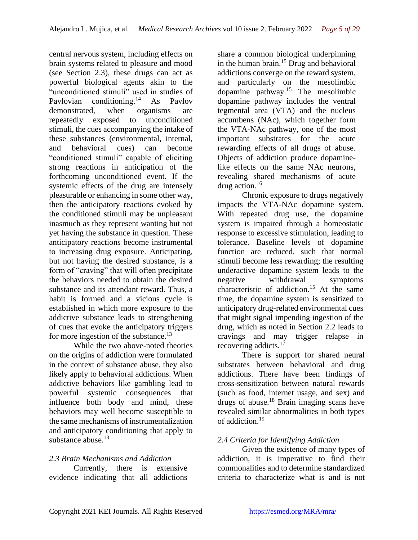central nervous system, including effects on brain systems related to pleasure and mood (see Section 2.3), these drugs can act as powerful biological agents akin to the "unconditioned stimuli" used in studies of Pavlovian conditioning.<sup>14</sup> As Pavlov demonstrated, when organisms are repeatedly exposed to unconditioned stimuli, the cues accompanying the intake of these substances (environmental, internal, and behavioral cues) can become "conditioned stimuli" capable of eliciting strong reactions in anticipation of the forthcoming unconditioned event. If the systemic effects of the drug are intensely pleasurable or enhancing in some other way, then the anticipatory reactions evoked by the conditioned stimuli may be unpleasant inasmuch as they represent wanting but not yet having the substance in question. These anticipatory reactions become instrumental to increasing drug exposure. Anticipating, but not having the desired substance, is a form of "craving" that will often precipitate the behaviors needed to obtain the desired substance and its attendant reward. Thus, a habit is formed and a vicious cycle is established in which more exposure to the addictive substance leads to strengthening of cues that evoke the anticipatory triggers for more ingestion of the substance.<sup>13</sup>

While the two above-noted theories on the origins of addiction were formulated in the context of substance abuse, they also likely apply to behavioral addictions. When addictive behaviors like gambling lead to powerful systemic consequences that influence both body and mind, these behaviors may well become susceptible to the same mechanisms of instrumentalization and anticipatory conditioning that apply to substance abuse. $13$ 

### *2.3 Brain Mechanisms and Addiction*

Currently, there is extensive evidence indicating that all addictions

share a common biological underpinning in the human brain.<sup>15</sup> Drug and behavioral addictions converge on the reward system, and particularly on the mesolimbic dopamine pathway.<sup>15</sup> The mesolimbic dopamine pathway includes the ventral tegmental area (VTA) and the nucleus accumbens (NAc), which together form the VTA-NAc pathway, one of the most important substrates for the acute rewarding effects of all drugs of abuse. Objects of addiction produce dopaminelike effects on the same NAc neurons, revealing shared mechanisms of acute drug action.<sup>16</sup>

Chronic exposure to drugs negatively impacts the VTA-NAc dopamine system. With repeated drug use, the dopamine system is impaired through a homeostatic response to excessive stimulation, leading to tolerance. Baseline levels of dopamine function are reduced, such that normal stimuli become less rewarding; the resulting underactive dopamine system leads to the negative withdrawal symptoms characteristic of addiction.<sup>15</sup> At the same time, the dopamine system is sensitized to anticipatory drug-related environmental cues that might signal impending ingestion of the drug, which as noted in Section 2.2 leads to cravings and may trigger relapse in recovering addicts.<sup>17</sup>

There is support for shared neural substrates between behavioral and drug addictions. There have been findings of cross-sensitization between natural rewards (such as food, internet usage, and sex) and drugs of abuse.<sup>18</sup> Brain imaging scans have revealed similar abnormalities in both types of addiction.<sup>19</sup>

# *2.4 Criteria for Identifying Addiction*

Given the existence of many types of addiction, it is imperative to find their commonalities and to determine standardized criteria to characterize what is and is not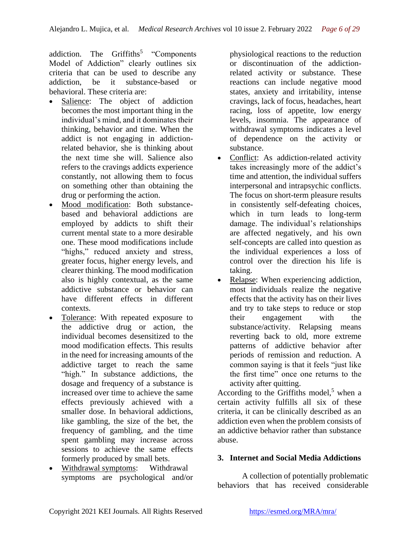addiction. The Griffiths<sup>5</sup> "Components Model of Addiction" clearly outlines six criteria that can be used to describe any addiction, be it substance-based or behavioral. These criteria are:

- Salience: The object of addiction becomes the most important thing in the individual's mind, and it dominates their thinking, behavior and time. When the addict is not engaging in addictionrelated behavior, she is thinking about the next time she will. Salience also refers to the cravings addicts experience constantly, not allowing them to focus on something other than obtaining the drug or performing the action.
- Mood modification: Both substancebased and behavioral addictions are employed by addicts to shift their current mental state to a more desirable one. These mood modifications include "highs," reduced anxiety and stress, greater focus, higher energy levels, and clearer thinking. The mood modification also is highly contextual, as the same addictive substance or behavior can have different effects in different contexts.
- Tolerance: With repeated exposure to the addictive drug or action, the individual becomes desensitized to the mood modification effects. This results in the need for increasing amounts of the addictive target to reach the same "high." In substance addictions, the dosage and frequency of a substance is increased over time to achieve the same effects previously achieved with a smaller dose. In behavioral addictions, like gambling, the size of the bet, the frequency of gambling, and the time spent gambling may increase across sessions to achieve the same effects formerly produced by small bets.
- Withdrawal symptoms: Withdrawal symptoms are psychological and/or

physiological reactions to the reduction or discontinuation of the addictionrelated activity or substance. These reactions can include negative mood states, anxiety and irritability, intense cravings, lack of focus, headaches, heart racing, loss of appetite, low energy levels, insomnia. The appearance of withdrawal symptoms indicates a level of dependence on the activity or substance.

- Conflict: As addiction-related activity takes increasingly more of the addict's time and attention, the individual suffers interpersonal and intrapsychic conflicts. The focus on short-term pleasure results in consistently self-defeating choices, which in turn leads to long-term damage. The individual's relationships are affected negatively, and his own self-concepts are called into question as the individual experiences a loss of control over the direction his life is taking.
- Relapse: When experiencing addiction, most individuals realize the negative effects that the activity has on their lives and try to take steps to reduce or stop their engagement with the substance/activity. Relapsing means reverting back to old, more extreme patterns of addictive behavior after periods of remission and reduction. A common saying is that it feels "just like the first time" once one returns to the activity after quitting.

According to the Griffiths model,<sup>5</sup> when a certain activity fulfills all six of these criteria, it can be clinically described as an addiction even when the problem consists of an addictive behavior rather than substance abuse.

### **3. Internet and Social Media Addictions**

A collection of potentially problematic behaviors that has received considerable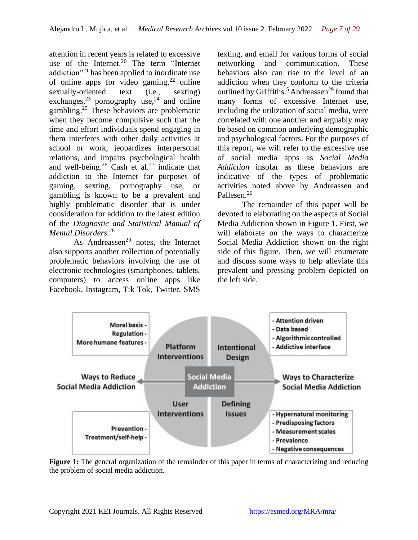attention in recent years is related to excessive use of the Internet.<sup>20</sup> The term "Internet" addiction"<sup>21</sup> has been applied to inordinate use of online apps for video gaming,  $2^2$  online sexually-oriented text (i.e., sexting) exchanges, $^{23}$  pornography use, $^{24}$  and online gambling.<sup>25</sup> These behaviors are problematic when they become compulsive such that the time and effort individuals spend engaging in them interferes with other daily activities at school or work, jeopardizes interpersonal relations, and impairs psychological health and well-being.<sup>26</sup> Cash et al.<sup>27</sup> indicate that addiction to the Internet for purposes of gaming, sexting, pornography use, or gambling is known to be a prevalent and highly problematic disorder that is under consideration for addition to the latest edition of the *Diagnostic and Statistical Manual of Mental Disorders*. 28

As Andreassen<sup>29</sup> notes, the Internet also supports another collection of potentially problematic behaviors involving the use of electronic technologies (smartphones, tablets, computers) to access online apps like Facebook, Instagram, Tik Tok, Twitter, SMS

texting, and email for various forms of social networking and communication. These behaviors also can rise to the level of an addiction when they conform to the criteria outlined by Griffiths.<sup>5</sup> Andreassen<sup>29</sup> found that many forms of excessive Internet use, including the utilization of social media, were correlated with one another and arguably may be based on common underlying demographic and psychological factors. For the purposes of this report, we will refer to the excessive use of social media apps as *Social Media Addiction* insofar as these behaviors are indicative of the types of problematic activities noted above by Andreassen and Pallesen.<sup>26</sup>

The remainder of this paper will be devoted to elaborating on the aspects of Social Media Addiction shown in Figure 1. First, we will elaborate on the ways to characterize Social Media Addiction shown on the right side of this figure. Then, we will enumerate and discuss some ways to help alleviate this prevalent and pressing problem depicted on the left side.



Figure 1: The general organization of the remainder of this paper in terms of characterizing and reducing the problem of social media addiction.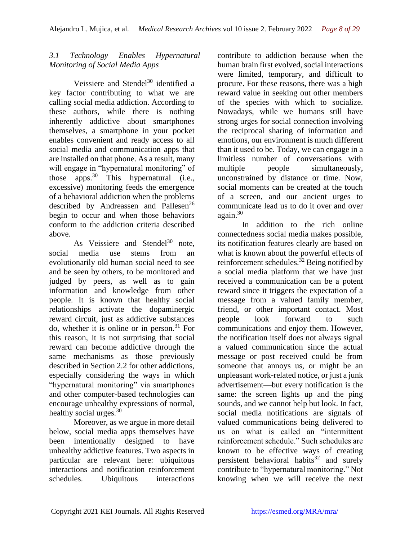# *3.1 Technology Enables Hypernatural Monitoring of Social Media Apps*

Veissiere and Stendel<sup>30</sup> identified a key factor contributing to what we are calling social media addiction. According to these authors, while there is nothing inherently addictive about smartphones themselves, a smartphone in your pocket enables convenient and ready access to all social media and communication apps that are installed on that phone. As a result, many will engage in "hypernatural monitoring" of those apps. <sup>30</sup> This hypernatural (i.e., excessive) monitoring feeds the emergence of a behavioral addiction when the problems described by Andreassen and Pallesen<sup>26</sup> begin to occur and when those behaviors conform to the addiction criteria described above.

As Veissiere and Stendel $30$  note, social media use stems from an evolutionarily old human social need to see and be seen by others, to be monitored and judged by peers, as well as to gain information and knowledge from other people. It is known that healthy social relationships activate the dopaminergic reward circuit, just as addictive substances do, whether it is online or in person.<sup>31</sup> For this reason, it is not surprising that social reward can become addictive through the same mechanisms as those previously described in Section 2.2 for other addictions, especially considering the ways in which "hypernatural monitoring" via smartphones and other computer-based technologies can encourage unhealthy expressions of normal, healthy social urges. $30$ 

Moreover, as we argue in more detail below, social media apps themselves have been intentionally designed to have unhealthy addictive features. Two aspects in particular are relevant here: ubiquitous interactions and notification reinforcement schedules. Ubiquitous interactions

contribute to addiction because when the human brain first evolved, social interactions were limited, temporary, and difficult to procure. For these reasons, there was a high reward value in seeking out other members of the species with which to socialize. Nowadays, while we humans still have strong urges for social connection involving the reciprocal sharing of information and emotions, our environment is much different than it used to be. Today, we can engage in a limitless number of conversations with multiple people simultaneously, unconstrained by distance or time. Now, social moments can be created at the touch of a screen, and our ancient urges to communicate lead us to do it over and over  $a\varrho$ again. $30$ 

In addition to the rich online connectedness social media makes possible, its notification features clearly are based on what is known about the powerful effects of reinforcement schedules.<sup>32</sup> Being notified by a social media platform that we have just received a communication can be a potent reward since it triggers the expectation of a message from a valued family member, friend, or other important contact. Most people look forward to such communications and enjoy them. However, the notification itself does not always signal a valued communication since the actual message or post received could be from someone that annoys us, or might be an unpleasant work-related notice, or just a junk advertisement—but every notification is the same: the screen lights up and the ping sounds, and we cannot help but look. In fact, social media notifications are signals of valued communications being delivered to us on what is called an "intermittent reinforcement schedule." Such schedules are known to be effective ways of creating persistent behavioral habits<sup>32</sup> and surely contribute to "hypernatural monitoring." Not knowing when we will receive the next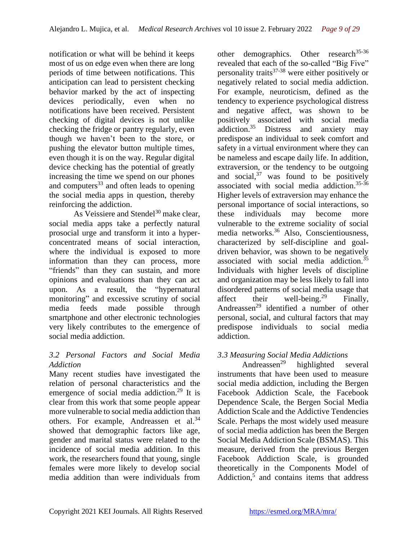notification or what will be behind it keeps most of us on edge even when there are long periods of time between notifications. This anticipation can lead to persistent checking behavior marked by the act of inspecting devices periodically, even when no notifications have been received. Persistent checking of digital devices is not unlike checking the fridge or pantry regularly, even though we haven't been to the store, or pushing the elevator button multiple times, even though it is on the way. Regular digital device checking has the potential of greatly increasing the time we spend on our phones and computers $33$  and often leads to opening the social media apps in question, thereby reinforcing the addiction.

As Veissiere and Stendel $30$  make clear, social media apps take a perfectly natural prosocial urge and transform it into a hyperconcentrated means of social interaction, where the individual is exposed to more information than they can process, more "friends" than they can sustain, and more opinions and evaluations than they can act upon. As a result, the "hypernatural monitoring" and excessive scrutiny of social media feeds made possible through smartphone and other electronic technologies very likely contributes to the emergence of social media addiction.

### *3.2 Personal Factors and Social Media Addiction*

Many recent studies have investigated the relation of personal characteristics and the emergence of social media addiction.<sup>29</sup> It is clear from this work that some people appear more vulnerable to social media addiction than others. For example, Andreassen et al.<sup>34</sup> showed that demographic factors like age, gender and marital status were related to the incidence of social media addition. In this work, the researchers found that young, single females were more likely to develop social media addition than were individuals from

other demographics. Other research<sup>35-36</sup> revealed that each of the so-called "Big Five" personality traits $37-38$  were either positively or negatively related to social media addiction. For example, neuroticism, defined as the tendency to experience psychological distress and negative affect, was shown to be positively associated with social media addiction.<sup>35</sup> Distress and anxiety may predispose an individual to seek comfort and safety in a virtual environment where they can be nameless and escape daily life. In addition, extraversion, or the tendency to be outgoing and social, $37$  was found to be positively associated with social media addiction.35-36 Higher levels of extraversion may enhance the personal importance of social interactions, so these individuals may become more vulnerable to the extreme sociality of social media networks.<sup>36</sup> Also, Conscientiousness, characterized by self-discipline and goaldriven behavior, was shown to be negatively associated with social media addiction.<sup>35</sup> Individuals with higher levels of discipline and organization may be less likely to fall into disordered patterns of social media usage that affect their well-being.<sup>29</sup> Finally, Andreassen<sup>29</sup> identified a number of other personal, social, and cultural factors that may predispose individuals to social media addiction.

# *3.3 Measuring Social Media Addictions*

Andreassen<sup>29</sup> highlighted several instruments that have been used to measure social media addiction, including the Bergen Facebook Addiction Scale, the Facebook Dependence Scale, the Bergen Social Media Addiction Scale and the Addictive Tendencies Scale. Perhaps the most widely used measure of social media addiction has been the Bergen Social Media Addiction Scale (BSMAS). This measure, derived from the previous Bergen Facebook Addiction Scale, is grounded theoretically in the Components Model of Addiction,<sup>5</sup> and contains items that address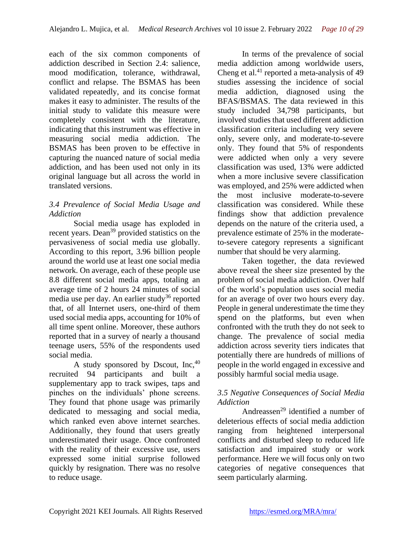each of the six common components of addiction described in Section 2.4: salience, mood modification, tolerance, withdrawal, conflict and relapse. The BSMAS has been validated repeatedly, and its concise format makes it easy to administer. The results of the initial study to validate this measure were completely consistent with the literature, indicating that this instrument was effective in measuring social media addiction. The BSMAS has been proven to be effective in capturing the nuanced nature of social media addiction, and has been used not only in its original language but all across the world in translated versions.

## *3.4 Prevalence of Social Media Usage and Addiction*

Social media usage has exploded in recent years. Dean<sup>39</sup> provided statistics on the pervasiveness of social media use globally. According to this report, 3.96 billion people around the world use at least one social media network. On average, each of these people use 8.8 different social media apps, totaling an average time of 2 hours 24 minutes of social media use per day. An earlier study<sup>36</sup> reported that, of all Internet users, one-third of them used social media apps, accounting for 10% of all time spent online. Moreover, these authors reported that in a survey of nearly a thousand teenage users, 55% of the respondents used social media.

A study sponsored by Dscout,  $Inc<sub>1</sub><sup>40</sup>$ recruited 94 participants and built a supplementary app to track swipes, taps and pinches on the individuals' phone screens. They found that phone usage was primarily dedicated to messaging and social media, which ranked even above internet searches. Additionally, they found that users greatly underestimated their usage. Once confronted with the reality of their excessive use, users expressed some initial surprise followed quickly by resignation. There was no resolve to reduce usage.

In terms of the prevalence of social media addiction among worldwide users, Cheng et al.<sup>41</sup> reported a meta-analysis of  $49$ studies assessing the incidence of social media addiction, diagnosed using the BFAS/BSMAS. The data reviewed in this study included 34,798 participants, but involved studies that used different addiction classification criteria including very severe only, severe only, and moderate-to-severe only. They found that 5% of respondents were addicted when only a very severe classification was used, 13% were addicted when a more inclusive severe classification was employed, and 25% were addicted when the most inclusive moderate-to-severe classification was considered. While these findings show that addiction prevalence depends on the nature of the criteria used, a prevalence estimate of 25% in the moderateto-severe category represents a significant number that should be very alarming.

Taken together, the data reviewed above reveal the sheer size presented by the problem of social media addiction. Over half of the world's population uses social media for an average of over two hours every day. People in general underestimate the time they spend on the platforms, but even when confronted with the truth they do not seek to change. The prevalence of social media addiction across severity tiers indicates that potentially there are hundreds of millions of people in the world engaged in excessive and possibly harmful social media usage.

### *3.5 Negative Consequences of Social Media Addiction*

Andreassen<sup>29</sup> identified a number of deleterious effects of social media addiction ranging from heightened interpersonal conflicts and disturbed sleep to reduced life satisfaction and impaired study or work performance. Here we will focus only on two categories of negative consequences that seem particularly alarming.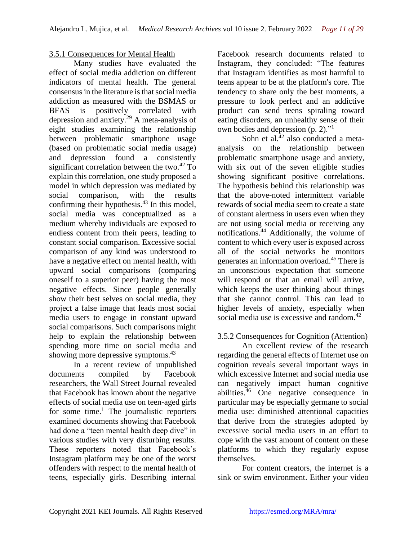### 3.5.1 Consequences for Mental Health

Many studies have evaluated the effect of social media addiction on different indicators of mental health. The general consensus in the literature is that social media addiction as measured with the BSMAS or BFAS is positively correlated with depression and anxiety.<sup>29</sup> A meta-analysis of eight studies examining the relationship between problematic smartphone usage (based on problematic social media usage) and depression found a consistently significant correlation between the two.<sup>42</sup> To explain this correlation, one study proposed a model in which depression was mediated by social comparison, with the results confirming their hypothesis. $43$  In this model, social media was conceptualized as a medium whereby individuals are exposed to endless content from their peers, leading to constant social comparison. Excessive social comparison of any kind was understood to have a negative effect on mental health, with upward social comparisons (comparing oneself to a superior peer) having the most negative effects. Since people generally show their best selves on social media, they project a false image that leads most social media users to engage in constant upward social comparisons. Such comparisons might help to explain the relationship between spending more time on social media and showing more depressive symptoms.<sup>43</sup>

In a recent review of unpublished documents compiled by Facebook researchers, the Wall Street Journal revealed that Facebook has known about the negative effects of social media use on teen-aged girls for some time.<sup>1</sup> The journalistic reporters examined documents showing that Facebook had done a "teen mental health deep dive" in various studies with very disturbing results. These reporters noted that Facebook's Instagram platform may be one of the worst offenders with respect to the mental health of teens, especially girls. Describing internal

Facebook research documents related to Instagram, they concluded: "The features that Instagram identifies as most harmful to teens appear to be at the platform's core. The tendency to share only the best moments, a pressure to look perfect and an addictive product can send teens spiraling toward eating disorders, an unhealthy sense of their own bodies and depression (p. 2)."<sup>1</sup>

Sohn et al.<sup>42</sup> also conducted a metaanalysis on the relationship between problematic smartphone usage and anxiety, with six out of the seven eligible studies showing significant positive correlations. The hypothesis behind this relationship was that the above-noted intermittent variable rewards of social media seem to create a state of constant alertness in users even when they are not using social media or receiving any notifications.<sup>44</sup> Additionally, the volume of content to which every user is exposed across all of the social networks he monitors generates an information overload.<sup>45</sup> There is an unconscious expectation that someone will respond or that an email will arrive, which keeps the user thinking about things that she cannot control. This can lead to higher levels of anxiety, especially when social media use is excessive and random.<sup>42</sup>

# 3.5.2 Consequences for Cognition (Attention)

An excellent review of the research regarding the general effects of Internet use on cognition reveals several important ways in which excessive Internet and social media use can negatively impact human cognitive abilities.<sup>46</sup> One negative consequence in particular may be especially germane to social media use: diminished attentional capacities that derive from the strategies adopted by excessive social media users in an effort to cope with the vast amount of content on these platforms to which they regularly expose themselves.

For content creators, the internet is a sink or swim environment. Either your video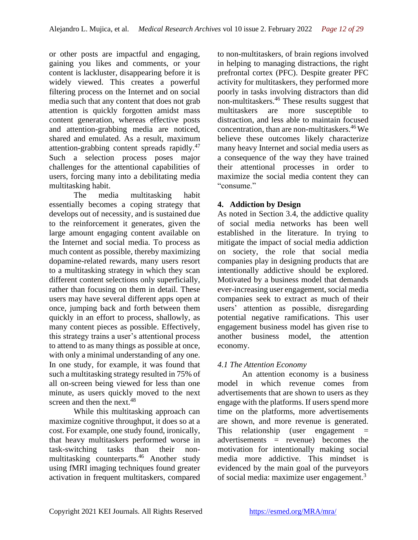or other posts are impactful and engaging, gaining you likes and comments, or your content is lackluster, disappearing before it is widely viewed. This creates a powerful filtering process on the Internet and on social media such that any content that does not grab attention is quickly forgotten amidst mass content generation, whereas effective posts and attention-grabbing media are noticed, shared and emulated. As a result, maximum attention-grabbing content spreads rapidly.<sup>47</sup> Such a selection process poses major challenges for the attentional capabilities of users, forcing many into a debilitating media multitasking habit.

The media multitasking habit essentially becomes a coping strategy that develops out of necessity, and is sustained due to the reinforcement it generates, given the large amount engaging content available on the Internet and social media. To process as much content as possible, thereby maximizing dopamine-related rewards, many users resort to a multitasking strategy in which they scan different content selections only superficially, rather than focusing on them in detail. These users may have several different apps open at once, jumping back and forth between them quickly in an effort to process, shallowly, as many content pieces as possible. Effectively, this strategy trains a user's attentional process to attend to as many things as possible at once, with only a minimal understanding of any one. In one study, for example, it was found that such a multitasking strategy resulted in 75% of all on-screen being viewed for less than one minute, as users quickly moved to the next screen and then the next.<sup>48</sup>

While this multitasking approach can maximize cognitive throughput, it does so at a cost. For example, one study found, ironically, that heavy multitaskers performed worse in task-switching tasks than their nonmultitasking counterparts.<sup>46</sup> Another study using fMRI imaging techniques found greater activation in frequent multitaskers, compared

to non-multitaskers, of brain regions involved in helping to managing distractions, the right prefrontal cortex (PFC). Despite greater PFC activity for multitaskers, they performed more poorly in tasks involving distractors than did non-multitaskers. <sup>46</sup> These results suggest that multitaskers are more susceptible distraction, and less able to maintain focused concentration, than are non-multitaskers.<sup>46</sup>We believe these outcomes likely characterize many heavy Internet and social media users as a consequence of the way they have trained their attentional processes in order to maximize the social media content they can "consume."

# **4. Addiction by Design**

As noted in Section 3.4, the addictive quality of social media networks has been well established in the literature. In trying to mitigate the impact of social media addiction on society, the role that social media companies play in designing products that are intentionally addictive should be explored. Motivated by a business model that demands ever-increasing user engagement, social media companies seek to extract as much of their users' attention as possible, disregarding potential negative ramifications. This user engagement business model has given rise to another business model, the attention economy.

# *4.1 The Attention Economy*

An attention economy is a business model in which revenue comes from advertisements that are shown to users as they engage with the platforms. If users spend more time on the platforms, more advertisements are shown, and more revenue is generated. This relationship (user engagement = advertisements = revenue) becomes the motivation for intentionally making social media more addictive. This mindset is evidenced by the main goal of the purveyors of social media: maximize user engagement.<sup>3</sup>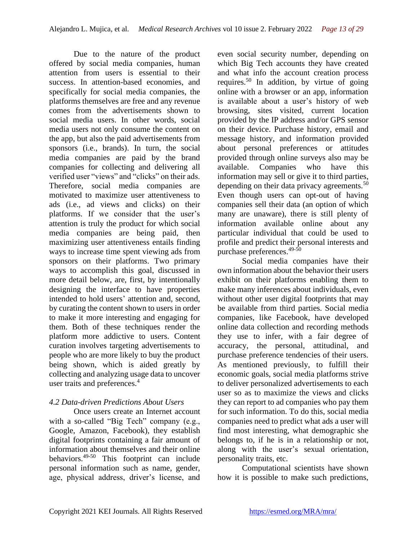Due to the nature of the product offered by social media companies, human attention from users is essential to their success. In attention-based economies, and specifically for social media companies, the platforms themselves are free and any revenue comes from the advertisements shown to social media users. In other words, social media users not only consume the content on the app, but also the paid advertisements from sponsors (i.e., brands). In turn, the social media companies are paid by the brand companies for collecting and delivering all verified user "views" and "clicks" on their ads. Therefore, social media companies are motivated to maximize user attentiveness to ads (i.e., ad views and clicks) on their platforms. If we consider that the user's attention is truly the product for which social media companies are being paid, then maximizing user attentiveness entails finding ways to increase time spent viewing ads from sponsors on their platforms. Two primary ways to accomplish this goal, discussed in more detail below, are, first, by intentionally designing the interface to have properties intended to hold users' attention and, second, by curating the content shown to users in order to make it more interesting and engaging for them. Both of these techniques render the platform more addictive to users. Content curation involves targeting advertisements to people who are more likely to buy the product being shown, which is aided greatly by collecting and analyzing usage data to uncover user traits and preferences.<sup>4</sup>

# *4.2 Data-driven Predictions About Users*

Once users create an Internet account with a so-called "Big Tech" company (e.g., Google, Amazon, Facebook), they establish digital footprints containing a fair amount of information about themselves and their online behaviors.49-50 This footprint can include personal information such as name, gender, age, physical address, driver's license, and

even social security number, depending on which Big Tech accounts they have created and what info the account creation process requires.<sup>50</sup> In addition, by virtue of going online with a browser or an app, information is available about a user's history of web browsing, sites visited, current location provided by the IP address and/or GPS sensor on their device. Purchase history, email and message history, and information provided about personal preferences or attitudes provided through online surveys also may be available. Companies who have this information may sell or give it to third parties, depending on their data privacy agreements.<sup>50</sup> Even though users can opt-out of having companies sell their data (an option of which many are unaware), there is still plenty of information available online about any particular individual that could be used to profile and predict their personal interests and purchase preferences.49-50

Social media companies have their own information about the behavior their users exhibit on their platforms enabling them to make many inferences about individuals, even without other user digital footprints that may be available from third parties. Social media companies, like Facebook, have developed online data collection and recording methods they use to infer, with a fair degree of accuracy, the personal, attitudinal, and purchase preference tendencies of their users. As mentioned previously, to fulfill their economic goals, social media platforms strive to deliver personalized advertisements to each user so as to maximize the views and clicks they can report to ad companies who pay them for such information. To do this, social media companies need to predict what ads a user will find most interesting, what demographic she belongs to, if he is in a relationship or not, along with the user's sexual orientation, personality traits, etc.

Computational scientists have shown how it is possible to make such predictions,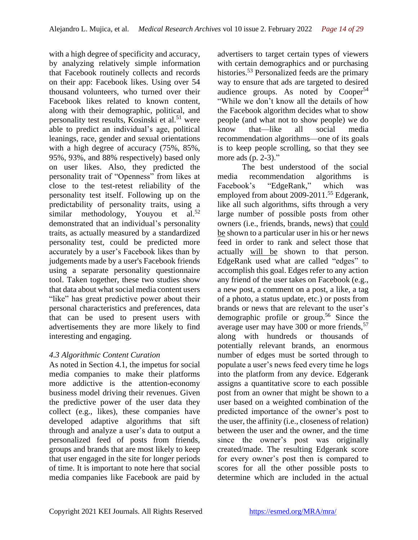with a high degree of specificity and accuracy, by analyzing relatively simple information that Facebook routinely collects and records on their app: Facebook likes. Using over 54 thousand volunteers, who turned over their Facebook likes related to known content, along with their demographic, political, and personality test results, Kosinski et al. $51$  were able to predict an individual's age, political leanings, race, gender and sexual orientations with a high degree of accuracy (75%, 85%, 95%, 93%, and 88% respectively) based only on user likes. Also, they predicted the personality trait of "Openness" from likes at close to the test-retest reliability of the personality test itself. Following up on the predictability of personality traits, using a similar methodology, Youyou et al.<sup>52</sup> demonstrated that an individual's personality traits, as actually measured by a standardized personality test, could be predicted more accurately by a user's Facebook likes than by judgements made by a user's Facebook friends using a separate personality questionnaire tool. Taken together, these two studies show that data about what social media content users "like" has great predictive power about their personal characteristics and preferences, data that can be used to present users with advertisements they are more likely to find interesting and engaging.

# *4.3 Algorithmic Content Curation*

As noted in Section 4.1, the impetus for social media companies to make their platforms more addictive is the attention-economy business model driving their revenues. Given the predictive power of the user data they collect (e.g., likes), these companies have developed adaptive algorithms that sift through and analyze a user's data to output a personalized feed of posts from friends, groups and brands that are most likely to keep that user engaged in the site for longer periods of time. It is important to note here that social media companies like Facebook are paid by

advertisers to target certain types of viewers with certain demographics and or purchasing histories.<sup>53</sup> Personalized feeds are the primary way to ensure that ads are targeted to desired audience groups. As noted by  $Cooper<sup>54</sup>$ "While we don't know all the details of how the Facebook algorithm decides what to show people (and what not to show people) we do know that—like all social media recommendation algorithms—one of its goals is to keep people scrolling, so that they see more ads (p. 2-3)."

The best understood of the social media recommendation algorithms is Facebook's "EdgeRank," which was employed from about 2009-2011.<sup>55</sup> Edgerank, like all such algorithms, sifts through a very large number of possible posts from other owners (i.e., friends, brands, news) that could be shown to a particular user in his or her news feed in order to rank and select those that actually will be shown to that person. EdgeRank used what are called "edges" to accomplish this goal. Edges refer to any action any friend of the user takes on Facebook (e.g., a new post, a comment on a post, a like, a tag of a photo, a status update, etc.) or posts from brands or news that are relevant to the user's demographic profile or group.<sup>56</sup> Since the average user may have  $300$  or more friends,  $57$ along with hundreds or thousands of potentially relevant brands, an enormous number of edges must be sorted through to populate a user's news feed every time he logs into the platform from any device. Edgerank assigns a quantitative score to each possible post from an owner that might be shown to a user based on a weighted combination of the predicted importance of the owner's post to the user, the affinity (i.e., closeness of relation) between the user and the owner, and the time since the owner's post was originally created/made. The resulting Edgerank score for every owner's post then is compared to scores for all the other possible posts to determine which are included in the actual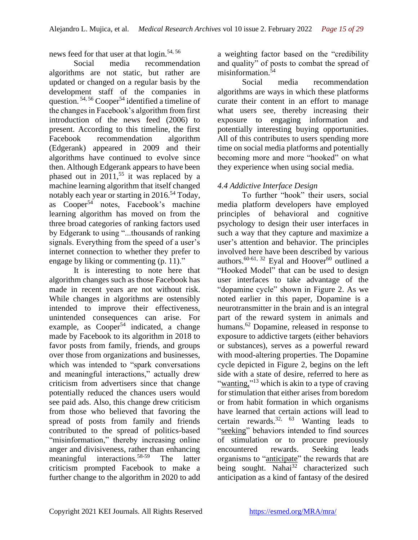news feed for that user at that login.54, 56

Social media recommendation algorithms are not static, but rather are updated or changed on a regular basis by the development staff of the companies in question.<sup>54, 56</sup> Cooper<sup>54</sup> identified a timeline of the changes in Facebook's algorithm from first introduction of the news feed (2006) to present. According to this timeline, the first Facebook recommendation algorithm (Edgerank) appeared in 2009 and their algorithms have continued to evolve since then. Although Edgerank appears to have been phased out in  $2011$ ,<sup>55</sup> it was replaced by a machine learning algorithm that itself changed notably each year or starting in 2016.<sup>54</sup> Today, as Cooper<sup>54</sup> notes, Facebook's machine learning algorithm has moved on from the three broad categories of ranking factors used by Edgerank to using "...thousands of ranking signals. Everything from the speed of a user's internet connection to whether they prefer to engage by liking or commenting (p. 11)."

It is interesting to note here that algorithm changes such as those Facebook has made in recent years are not without risk. While changes in algorithms are ostensibly intended to improve their effectiveness, unintended consequences can arise. For example, as Cooper<sup>54</sup> indicated, a change made by Facebook to its algorithm in 2018 to favor posts from family, friends, and groups over those from organizations and businesses, which was intended to "spark conversations and meaningful interactions," actually drew criticism from advertisers since that change potentially reduced the chances users would see paid ads. Also, this change drew criticism from those who believed that favoring the spread of posts from family and friends contributed to the spread of politics-based "misinformation," thereby increasing online anger and divisiveness, rather than enhancing meaningful interactions.58-59 The latter criticism prompted Facebook to make a further change to the algorithm in 2020 to add

a weighting factor based on the "credibility and quality" of posts to combat the spread of misinformation.<sup>54</sup>

Social media recommendation algorithms are ways in which these platforms curate their content in an effort to manage what users see, thereby increasing their exposure to engaging information and potentially interesting buying opportunities. All of this contributes to users spending more time on social media platforms and potentially becoming more and more "hooked" on what they experience when using social media.

### *4.4 Addictive Interface Design*

To further "hook" their users, social media platform developers have employed principles of behavioral and cognitive psychology to design their user interfaces in such a way that they capture and maximize a user's attention and behavior. The principles involved here have been described by various authors.<sup>60-61, 32</sup> Eyal and Hoover<sup>60</sup> outlined a "Hooked Model" that can be used to design user interfaces to take advantage of the "dopamine cycle" shown in Figure 2. As we noted earlier in this paper, Dopamine is a neurotransmitter in the brain and is an integral part of the reward system in animals and humans.<sup>62</sup> Dopamine, released in response to exposure to addictive targets (either behaviors or substances), serves as a powerful reward with mood-altering properties. The Dopamine cycle depicted in Figure 2, begins on the left side with a state of desire, referred to here as "wanting,"<sup>13</sup> which is akin to a type of craving" for stimulation that either arises from boredom or from habit formation in which organisms have learned that certain actions will lead to certain rewards.<sup>32, 63</sup> Wanting leads to "seeking" behaviors intended to find sources of stimulation or to procure previously encountered rewards. Seeking leads organisms to "anticipate" the rewards that are being sought. Nahai<sup>32</sup> characterized such anticipation as a kind of fantasy of the desired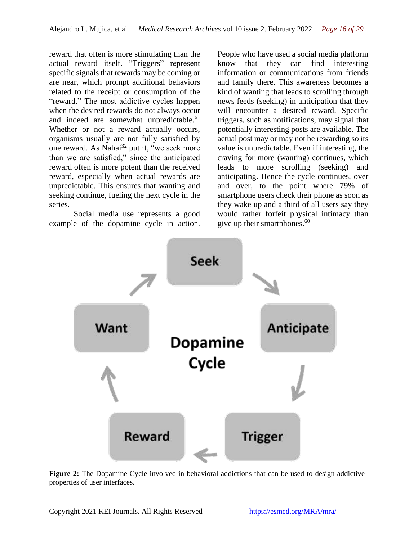reward that often is more stimulating than the actual reward itself. "Triggers" represent specific signals that rewards may be coming or are near, which prompt additional behaviors related to the receipt or consumption of the "reward." The most addictive cycles happen when the desired rewards do not always occur and indeed are somewhat unpredictable.<sup>61</sup> Whether or not a reward actually occurs, organisms usually are not fully satisfied by one reward. As Nahai<sup>32</sup> put it, "we seek more than we are satisfied," since the anticipated reward often is more potent than the received reward, especially when actual rewards are unpredictable. This ensures that wanting and seeking continue, fueling the next cycle in the series.

Social media use represents a good example of the dopamine cycle in action.

People who have used a social media platform know that they can find interesting information or communications from friends and family there. This awareness becomes a kind of wanting that leads to scrolling through news feeds (seeking) in anticipation that they will encounter a desired reward. Specific triggers, such as notifications, may signal that potentially interesting posts are available. The actual post may or may not be rewarding so its value is unpredictable. Even if interesting, the craving for more (wanting) continues, which leads to more scrolling (seeking) and anticipating. Hence the cycle continues, over and over, to the point where 79% of smartphone users check their phone as soon as they wake up and a third of all users say they would rather forfeit physical intimacy than give up their smartphones.<sup>60</sup>



**Figure 2:** The Dopamine Cycle involved in behavioral addictions that can be used to design addictive properties of user interfaces.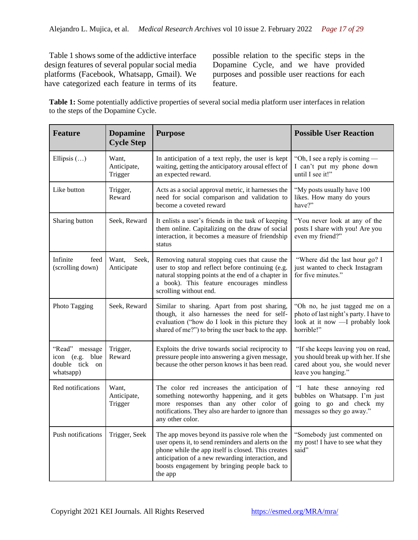Table 1 shows some of the addictive interface design features of several popular social media platforms (Facebook, Whatsapp, Gmail). We have categorized each feature in terms of its

possible relation to the specific steps in the Dopamine Cycle, and we have provided purposes and possible user reactions for each feature.

**Table 1:** Some potentially addictive properties of several social media platform user interfaces in relation to the steps of the Dopamine Cycle.

| <b>Feature</b>                                                   | <b>Dopamine</b><br><b>Cycle Step</b> | <b>Purpose</b>                                                                                                                                                                                                                                                            | <b>Possible User Reaction</b>                                                                                                         |
|------------------------------------------------------------------|--------------------------------------|---------------------------------------------------------------------------------------------------------------------------------------------------------------------------------------------------------------------------------------------------------------------------|---------------------------------------------------------------------------------------------------------------------------------------|
| Ellipsis $()$                                                    | Want,<br>Anticipate,<br>Trigger      | In anticipation of a text reply, the user is kept<br>waiting, getting the anticipatory arousal effect of<br>an expected reward.                                                                                                                                           | "Oh, I see a reply is coming —<br>I can't put my phone down<br>until I see it!"                                                       |
| Like button                                                      | Trigger,<br>Reward                   | Acts as a social approval metric, it harnesses the<br>need for social comparison and validation to<br>become a coveted reward                                                                                                                                             | "My posts usually have 100<br>likes. How many do yours<br>have?"                                                                      |
| Sharing button                                                   | Seek, Reward                         | It enlists a user's friends in the task of keeping<br>them online. Capitalizing on the draw of social<br>interaction, it becomes a measure of friendship<br>status                                                                                                        | "You never look at any of the<br>posts I share with you! Are you<br>even my friend?"                                                  |
| Infinite<br>feed<br>(scrolling down)                             | Seek,<br>Want,<br>Anticipate         | Removing natural stopping cues that cause the<br>user to stop and reflect before continuing (e.g.<br>natural stopping points at the end of a chapter in<br>a book). This feature encourages mindless<br>scrolling without end.                                            | "Where did the last hour go? I<br>just wanted to check Instagram<br>for five minutes."                                                |
| Photo Tagging                                                    | Seek, Reward                         | Similar to sharing. Apart from post sharing,<br>though, it also harnesses the need for self-<br>evaluation ("how do I look in this picture they<br>shared of me?") to bring the user back to the app.                                                                     | "Oh no, he just tagged me on a<br>photo of last night's party. I have to<br>look at it now - I probably look<br>horrible!"            |
| "Read" message<br>icon (e.g. blue<br>double tick on<br>whatsapp) | Trigger,<br>Reward                   | Exploits the drive towards social reciprocity to<br>pressure people into answering a given message,<br>because the other person knows it has been read.                                                                                                                   | "If she keeps leaving you on read,<br>you should break up with her. If she<br>cared about you, she would never<br>leave you hanging." |
| Red notifications                                                | Want,<br>Anticipate,<br>Trigger      | The color red increases the anticipation of<br>something noteworthy happening, and it gets<br>more responses than any other color of<br>notifications. They also are harder to ignore than<br>any other color.                                                            | "I hate these annoying red<br>bubbles on Whatsapp. I'm just<br>going to go and check my<br>messages so they go away."                 |
| Push notifications                                               | Trigger, Seek                        | The app moves beyond its passive role when the<br>user opens it, to send reminders and alerts on the<br>phone while the app itself is closed. This creates<br>anticipation of a new rewarding interaction, and<br>boosts engagement by bringing people back to<br>the app | "Somebody just commented on<br>my post! I have to see what they<br>said"                                                              |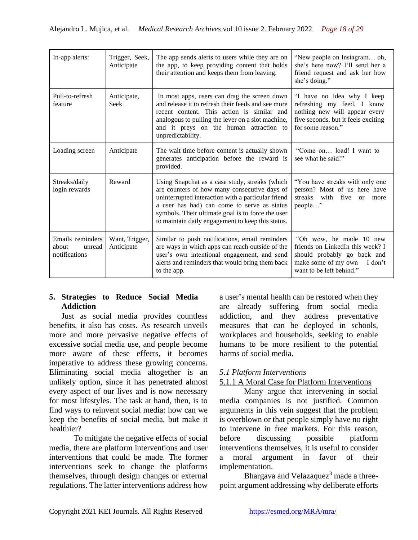| In-app alerts:                                       | Trigger, Seek,<br>Anticipate | The app sends alerts to users while they are on<br>the app, to keep providing content that holds<br>their attention and keeps them from leaving.                                                                                                                                                              | "New people on Instagram oh,<br>she's here now? I'll send her a<br>friend request and ask her how<br>she's doing."                                      |
|------------------------------------------------------|------------------------------|---------------------------------------------------------------------------------------------------------------------------------------------------------------------------------------------------------------------------------------------------------------------------------------------------------------|---------------------------------------------------------------------------------------------------------------------------------------------------------|
| Pull-to-refresh<br>feature                           | Anticipate,<br><b>Seek</b>   | In most apps, users can drag the screen down<br>and release it to refresh their feeds and see more<br>recent content. This action is similar and<br>analogous to pulling the lever on a slot machine,<br>and it preys on the human attraction to<br>unpredictability.                                         | "I have no idea why I keep<br>refreshing my feed. I know<br>nothing new will appear every<br>five seconds, but it feels exciting<br>for some reason."   |
| Loading screen                                       | Anticipate                   | The wait time before content is actually shown<br>generates anticipation before the reward is<br>provided.                                                                                                                                                                                                    | "Come on load! I want to<br>see what he said!"                                                                                                          |
| Streaks/daily<br>login rewards                       | Reward                       | Using Snapchat as a case study, streaks (which<br>are counters of how many consecutive days of<br>uninterrupted interaction with a particular friend<br>a user has had) can come to serve as status<br>symbols. Their ultimate goal is to force the user<br>to maintain daily engagement to keep this status. | "You have streaks with only one<br>person? Most of us here have<br>streaks with five or<br>more<br>people"                                              |
| Emails reminders<br>about<br>unread<br>notifications | Want, Trigger,<br>Anticipate | Similar to push notifications, email reminders<br>are ways in which apps can reach outside of the<br>user's own intentional engagement, and send<br>alerts and reminders that would bring them back<br>to the app.                                                                                            | "Oh wow, he made 10 new<br>friends on LinkedIn this week? I<br>should probably go back and<br>make some of my own - I don't<br>want to be left behind." |

### **5. Strategies to Reduce Social Media Addiction**

Just as social media provides countless benefits, it also has costs. As research unveils more and more pervasive negative effects of excessive social media use, and people become more aware of these effects, it becomes imperative to address these growing concerns. Eliminating social media altogether is an unlikely option, since it has penetrated almost every aspect of our lives and is now necessary for most lifestyles. The task at hand, then, is to find ways to reinvent social media: how can we keep the benefits of social media, but make it healthier?

To mitigate the negative effects of social media, there are platform interventions and user interventions that could be made. The former interventions seek to change the platforms themselves, through design changes or external regulations. The latter interventions address how a user's mental health can be restored when they are already suffering from social media addiction, and they address preventative measures that can be deployed in schools, workplaces and households, seeking to enable humans to be more resilient to the potential harms of social media.

### *5.1 Platform Interventions*

### 5.1.1 A Moral Case for Platform Interventions

Many argue that intervening in social media companies is not justified. Common arguments in this vein suggest that the problem is overblown or that people simply have no right to intervene in free markets. For this reason, before discussing possible platform interventions themselves, it is useful to consider a moral argument in favor of their implementation.

Bhargava and Velazaque $z^3$  made a threepoint argument addressing why deliberate efforts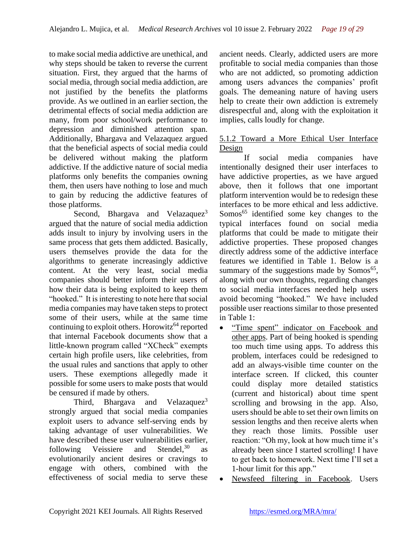to make social media addictive are unethical, and why steps should be taken to reverse the current situation. First, they argued that the harms of social media, through social media addiction, are not justified by the benefits the platforms provide. As we outlined in an earlier section, the detrimental effects of social media addiction are many, from poor school/work performance to depression and diminished attention span. Additionally, Bhargava and Velazaquez argued that the beneficial aspects of social media could be delivered without making the platform addictive. If the addictive nature of social media platforms only benefits the companies owning them, then users have nothing to lose and much to gain by reducing the addictive features of those platforms.

Second, Bhargava and Velazaquez<sup>3</sup> argued that the nature of social media addiction adds insult to injury by involving users in the same process that gets them addicted. Basically, users themselves provide the data for the algorithms to generate increasingly addictive content. At the very least, social media companies should better inform their users of how their data is being exploited to keep them "hooked." It is interesting to note here that social media companies may have taken steps to protect some of their users, while at the same time continuing to exploit others. Horowitz<sup>64</sup> reported that internal Facebook documents show that a little-known program called "XCheck" exempts certain high profile users, like celebrities, from the usual rules and sanctions that apply to other users. These exemptions allegedly made it possible for some users to make posts that would be censured if made by others.

Third, Bhargava and Velazaquez<sup>3</sup> strongly argued that social media companies exploit users to advance self-serving ends by taking advantage of user vulnerabilities. We have described these user vulnerabilities earlier, following Veissiere and Stendel.<sup>30</sup> as evolutionarily ancient desires or cravings to engage with others, combined with the effectiveness of social media to serve these

ancient needs. Clearly, addicted users are more profitable to social media companies than those who are not addicted, so promoting addiction among users advances the companies' profit goals. The demeaning nature of having users help to create their own addiction is extremely disrespectful and, along with the exploitation it implies, calls loudly for change.

#### 5.1.2 Toward a More Ethical User Interface Design

If social media companies have intentionally designed their user interfaces to have addictive properties, as we have argued above, then it follows that one important platform intervention would be to redesign these interfaces to be more ethical and less addictive. Somos<sup>65</sup> identified some key changes to the typical interfaces found on social media platforms that could be made to mitigate their addictive properties. These proposed changes directly address some of the addictive interface features we identified in Table 1. Below is a summary of the suggestions made by Somos<sup>65</sup>, along with our own thoughts, regarding changes to social media interfaces needed help users avoid becoming "hooked." We have included possible user reactions similar to those presented in Table 1:

- "Time spent" indicator on Facebook and other apps. Part of being hooked is spending too much time using apps. To address this problem, interfaces could be redesigned to add an always-visible time counter on the interface screen. If clicked, this counter could display more detailed statistics (current and historical) about time spent scrolling and browsing in the app. Also, users should be able to set their own limits on session lengths and then receive alerts when they reach those limits. Possible user reaction: "Oh my, look at how much time it's already been since I started scrolling! I have to get back to homework. Next time I'll set a 1-hour limit for this app."
- Newsfeed filtering in Facebook. Users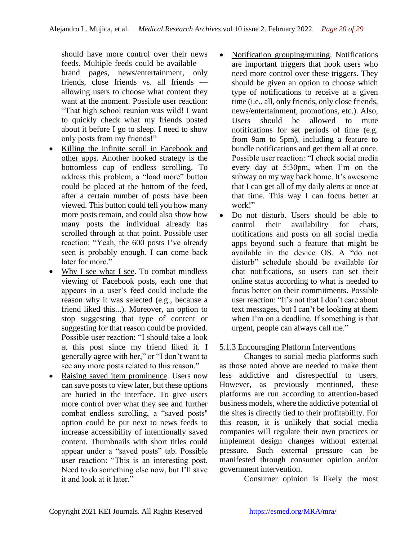should have more control over their news feeds. Multiple feeds could be available brand pages, news/entertainment, only friends, close friends vs. all friends allowing users to choose what content they want at the moment. Possible user reaction: "That high school reunion was wild! I want to quickly check what my friends posted about it before I go to sleep. I need to show only posts from my friends!"

- Killing the infinite scroll in Facebook and other apps. Another hooked strategy is the bottomless cup of endless scrolling. To address this problem, a "load more" button could be placed at the bottom of the feed, after a certain number of posts have been viewed. This button could tell you how many more posts remain, and could also show how many posts the individual already has scrolled through at that point. Possible user reaction: "Yeah, the 600 posts I've already seen is probably enough. I can come back later for more."
- Why I see what I see. To combat mindless viewing of Facebook posts, each one that appears in a user's feed could include the reason why it was selected (e.g., because a friend liked this...). Moreover, an option to stop suggesting that type of content or suggesting for that reason could be provided. Possible user reaction: "I should take a look at this post since my friend liked it. I generally agree with her," or "I don't want to see any more posts related to this reason."
- Raising saved item prominence. Users now can save posts to view later, but these options are buried in the interface. To give users more control over what they see and further combat endless scrolling, a "saved posts'' option could be put next to news feeds to increase accessibility of intentionally saved content. Thumbnails with short titles could appear under a "saved posts" tab. Possible user reaction: "This is an interesting post. Need to do something else now, but I'll save it and look at it later."
- Notification grouping/muting. Notifications are important triggers that hook users who need more control over these triggers. They should be given an option to choose which type of notifications to receive at a given time (i.e., all, only friends, only close friends, news/entertainment, promotions, etc.). Also, Users should be allowed to mute notifications for set periods of time (e.g. from 9am to 5pm), including a feature to bundle notifications and get them all at once. Possible user reaction: "I check social media every day at 5:30pm, when I'm on the subway on my way back home. It's awesome that I can get all of my daily alerts at once at that time. This way I can focus better at work!"
- Do not disturb. Users should be able to control their availability for chats, notifications and posts on all social media apps beyond such a feature that might be available in the device OS. A "do not disturb" schedule should be available for chat notifications, so users can set their online status according to what is needed to focus better on their commitments. Possible user reaction: "It's not that I don't care about text messages, but I can't be looking at them when I'm on a deadline. If something is that urgent, people can always call me."

### 5.1.3 Encouraging Platform Interventions

Changes to social media platforms such as those noted above are needed to make them less addictive and disrespectful to users. However, as previously mentioned, these platforms are run according to attention-based business models, where the addictive potential of the sites is directly tied to their profitability. For this reason, it is unlikely that social media companies will regulate their own practices or implement design changes without external pressure. Such external pressure can be manifested through consumer opinion and/or government intervention.

Consumer opinion is likely the most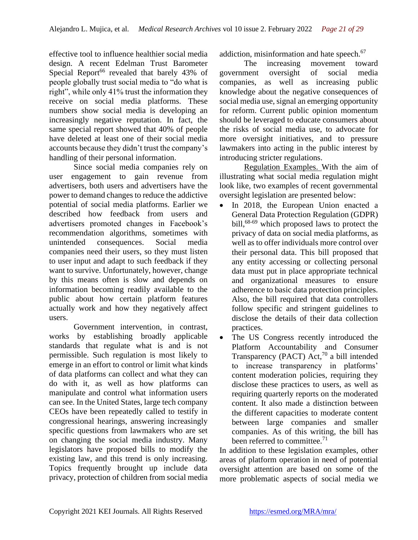effective tool to influence healthier social media design. A recent Edelman Trust Barometer Special Report<sup>66</sup> revealed that barely  $43\%$  of people globally trust social media to "do what is right", while only 41% trust the information they receive on social media platforms. These numbers show social media is developing an increasingly negative reputation. In fact, the same special report showed that 40% of people have deleted at least one of their social media accounts because they didn't trust the company's handling of their personal information.

Since social media companies rely on user engagement to gain revenue from advertisers, both users and advertisers have the power to demand changes to reduce the addictive potential of social media platforms. Earlier we described how feedback from users and advertisers promoted changes in Facebook's recommendation algorithms, sometimes with unintended consequences. Social media companies need their users, so they must listen to user input and adapt to such feedback if they want to survive. Unfortunately, however, change by this means often is slow and depends on information becoming readily available to the public about how certain platform features actually work and how they negatively affect users.

Government intervention, in contrast, works by establishing broadly applicable standards that regulate what is and is not permissible. Such regulation is most likely to emerge in an effort to control or limit what kinds of data platforms can collect and what they can do with it, as well as how platforms can manipulate and control what information users can see. In the United States, large tech company CEOs have been repeatedly called to testify in congressional hearings, answering increasingly specific questions from lawmakers who are set on changing the social media industry. Many legislators have proposed bills to modify the existing law, and this trend is only increasing. Topics frequently brought up include data privacy, protection of children from social media

addiction, misinformation and hate speech.<sup>67</sup>

The increasing movement toward government oversight of social media companies, as well as increasing public knowledge about the negative consequences of social media use, signal an emerging opportunity for reform. Current public opinion momentum should be leveraged to educate consumers about the risks of social media use, to advocate for more oversight initiatives, and to pressure lawmakers into acting in the public interest by introducing stricter regulations.

Regulation Examples. With the aim of illustrating what social media regulation might look like, two examples of recent governmental oversight legislation are presented below:

- In 2018, the European Union enacted a General Data Protection Regulation (GDPR) bill,<sup>68-69</sup> which proposed laws to protect the privacy of data on social media platforms, as well as to offer individuals more control over their personal data. This bill proposed that any entity accessing or collecting personal data must put in place appropriate technical and organizational measures to ensure adherence to basic data protection principles. Also, the bill required that data controllers follow specific and stringent guidelines to disclose the details of their data collection practices.
- The US Congress recently introduced the Platform Accountability and Consumer Transparency (PACT) Act, <sup>70</sup> a bill intended to increase transparency in platforms' content moderation policies, requiring they disclose these practices to users, as well as requiring quarterly reports on the moderated content. It also made a distinction between the different capacities to moderate content between large companies and smaller companies. As of this writing, the bill has been referred to committee.<sup>71</sup>

In addition to these legislation examples, other areas of platform operation in need of potential oversight attention are based on some of the more problematic aspects of social media we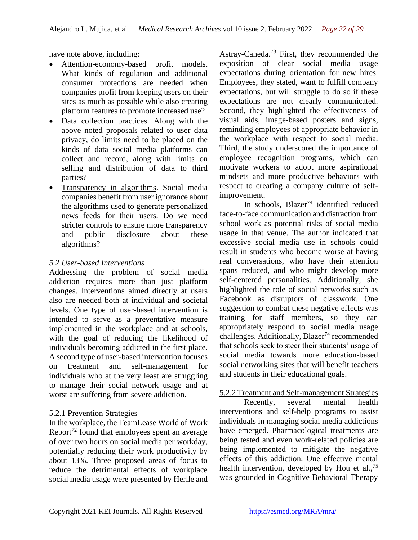have note above, including:

- Attention-economy-based profit models. What kinds of regulation and additional consumer protections are needed when companies profit from keeping users on their sites as much as possible while also creating platform features to promote increased use?
- Data collection practices. Along with the above noted proposals related to user data privacy, do limits need to be placed on the kinds of data social media platforms can collect and record, along with limits on selling and distribution of data to third parties?
- Transparency in algorithms. Social media companies benefit from user ignorance about the algorithms used to generate personalized news feeds for their users. Do we need stricter controls to ensure more transparency and public disclosure about these algorithms?

### *5.2 User-based Interventions*

Addressing the problem of social media addiction requires more than just platform changes. Interventions aimed directly at users also are needed both at individual and societal levels. One type of user-based intervention is intended to serve as a preventative measure implemented in the workplace and at schools, with the goal of reducing the likelihood of individuals becoming addicted in the first place. A second type of user-based intervention focuses on treatment and self-management for individuals who at the very least are struggling to manage their social network usage and at worst are suffering from severe addiction.

#### 5.2.1 Prevention Strategies

In the workplace, the TeamLease World of Work Report<sup>72</sup> found that employees spent an average of over two hours on social media per workday, potentially reducing their work productivity by about 13%. Three proposed areas of focus to reduce the detrimental effects of workplace social media usage were presented by Herlle and Astray-Caneda.<sup>73</sup> First, they recommended the exposition of clear social media usage expectations during orientation for new hires. Employees, they stated, want to fulfill company expectations, but will struggle to do so if these expectations are not clearly communicated. Second, they highlighted the effectiveness of visual aids, image-based posters and signs, reminding employees of appropriate behavior in the workplace with respect to social media. Third, the study underscored the importance of employee recognition programs, which can motivate workers to adopt more aspirational mindsets and more productive behaviors with respect to creating a company culture of selfimprovement.

In schools,  $Blazer^{74}$  identified reduced face-to-face communication and distraction from school work as potential risks of social media usage in that venue. The author indicated that excessive social media use in schools could result in students who become worse at having real conversations, who have their attention spans reduced, and who might develop more self-centered personalities. Additionally, she highlighted the role of social networks such as Facebook as disruptors of classwork. One suggestion to combat these negative effects was training for staff members, so they can appropriately respond to social media usage challenges. Additionally, Blazer<sup>74</sup> recommended that schools seek to steer their students' usage of social media towards more education-based social networking sites that will benefit teachers and students in their educational goals.

### 5.2.2 Treatment and Self-management Strategies

Recently, several mental health interventions and self-help programs to assist individuals in managing social media addictions have emerged. Pharmacological treatments are being tested and even work-related policies are being implemented to mitigate the negative effects of this addiction. One effective mental health intervention, developed by Hou et al.,  $75$ was grounded in Cognitive Behavioral Therapy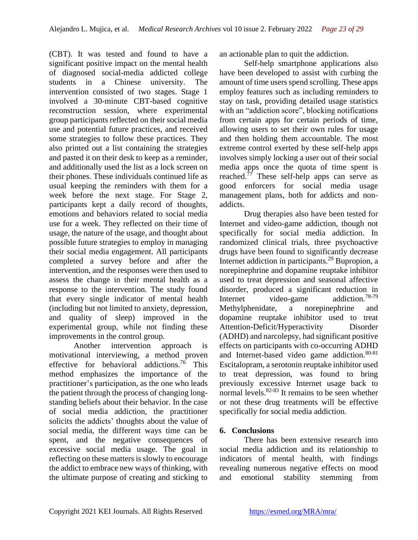(CBT). It was tested and found to have a significant positive impact on the mental health of diagnosed social-media addicted college students in a Chinese university. The intervention consisted of two stages. Stage 1 involved a 30-minute CBT-based cognitive reconstruction session, where experimental group participants reflected on their social media use and potential future practices, and received some strategies to follow these practices. They also printed out a list containing the strategies and pasted it on their desk to keep as a reminder, and additionally used the list as a lock screen on their phones. These individuals continued life as usual keeping the reminders with them for a week before the next stage. For Stage 2, participants kept a daily record of thoughts, emotions and behaviors related to social media use for a week. They reflected on their time of usage, the nature of the usage, and thought about possible future strategies to employ in managing their social media engagement. All participants completed a survey before and after the intervention, and the responses were then used to assess the change in their mental health as a response to the intervention. The study found that every single indicator of mental health (including but not limited to anxiety, depression, and quality of sleep) improved in the experimental group, while not finding these improvements in the control group.

Another intervention approach is motivational interviewing, a method proven effective for behavioral addictions.<sup>76</sup> This method emphasizes the importance of the practitioner's participation, as the one who leads the patient through the process of changing longstanding beliefs about their behavior. In the case of social media addiction, the practitioner solicits the addicts' thoughts about the value of social media, the different ways time can be spent, and the negative consequences of excessive social media usage. The goal in reflecting on these matters is slowly to encourage the addict to embrace new ways of thinking, with the ultimate purpose of creating and sticking to an actionable plan to quit the addiction.

Self-help smartphone applications also have been developed to assist with curbing the amount of time users spend scrolling. These apps employ features such as including reminders to stay on task, providing detailed usage statistics with an "addiction score", blocking notifications from certain apps for certain periods of time, allowing users to set their own rules for usage and then holding them accountable. The most extreme control exerted by these self-help apps involves simply locking a user out of their social media apps once the quota of time spent is reached. $77$  These self-help apps can serve as good enforcers for social media usage management plans, both for addicts and nonaddicts.

Drug therapies also have been tested for Internet and video-game addiction, though not specifically for social media addiction. In randomized clinical trials, three psychoactive drugs have been found to significantly decrease Internet addiction in participants.<sup>29</sup> Bupropion, a norepinephrine and dopamine reuptake inhibitor used to treat depression and seasonal affective disorder, produced a significant reduction in Internet video-game addiction.78-79 Methylphenidate, a norepinephrine and dopamine reuptake inhibitor used to treat Attention-Deficit/Hyperactivity Disorder (ADHD) and narcolepsy, had significant positive effects on participants with co-occurring ADHD and Internet-based video game addiction.<sup>80-81</sup> Escitalopram, a serotonin reuptake inhibitor used to treat depression, was found to bring previously excessive Internet usage back to normal levels. $82-83$  It remains to be seen whether or not these drug treatments will be effective specifically for social media addiction.

### **6. Conclusions**

There has been extensive research into social media addiction and its relationship to indicators of mental health, with findings revealing numerous negative effects on mood and emotional stability stemming from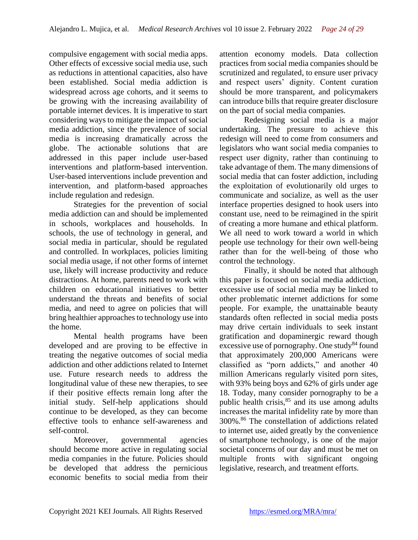compulsive engagement with social media apps. Other effects of excessive social media use, such as reductions in attentional capacities, also have been established. Social media addiction is widespread across age cohorts, and it seems to be growing with the increasing availability of portable internet devices. It is imperative to start considering ways to mitigate the impact of social media addiction, since the prevalence of social media is increasing dramatically across the globe. The actionable solutions that are addressed in this paper include user-based interventions and platform-based intervention. User-based interventions include prevention and intervention, and platform-based approaches include regulation and redesign.

Strategies for the prevention of social media addiction can and should be implemented in schools, workplaces and households. In schools, the use of technology in general, and social media in particular, should be regulated and controlled. In workplaces, policies limiting social media usage, if not other forms of internet use, likely will increase productivity and reduce distractions. At home, parents need to work with children on educational initiatives to better understand the threats and benefits of social media, and need to agree on policies that will bring healthier approaches to technology use into the home.

Mental health programs have been developed and are proving to be effective in treating the negative outcomes of social media addiction and other addictions related to Internet use. Future research needs to address the longitudinal value of these new therapies, to see if their positive effects remain long after the initial study. Self-help applications should continue to be developed, as they can become effective tools to enhance self-awareness and self-control.

Moreover, governmental agencies should become more active in regulating social media companies in the future. Policies should be developed that address the pernicious economic benefits to social media from their attention economy models. Data collection practices from social media companies should be scrutinized and regulated, to ensure user privacy and respect users' dignity. Content curation should be more transparent, and policymakers can introduce bills that require greater disclosure on the part of social media companies.

Redesigning social media is a major undertaking. The pressure to achieve this redesign will need to come from consumers and legislators who want social media companies to respect user dignity, rather than continuing to take advantage of them. The many dimensions of social media that can foster addiction, including the exploitation of evolutionarily old urges to communicate and socialize, as well as the user interface properties designed to hook users into constant use, need to be reimagined in the spirit of creating a more humane and ethical platform. We all need to work toward a world in which people use technology for their own well-being rather than for the well-being of those who control the technology.

Finally, it should be noted that although this paper is focused on social media addiction, excessive use of social media may be linked to other problematic internet addictions for some people. For example, the unattainable beauty standards often reflected in social media posts may drive certain individuals to seek instant gratification and dopaminergic reward though excessive use of pornography. One study $84$  found that approximately 200,000 Americans were classified as "porn addicts," and another 40 million Americans regularly visited porn sites, with 93% being boys and 62% of girls under age 18. Today, many consider pornography to be a public health crisis, $85$  and its use among adults increases the marital infidelity rate by more than 300%.<sup>86</sup> The constellation of addictions related to internet use, aided greatly by the convenience of smartphone technology, is one of the major societal concerns of our day and must be met on multiple fronts with significant ongoing legislative, research, and treatment efforts.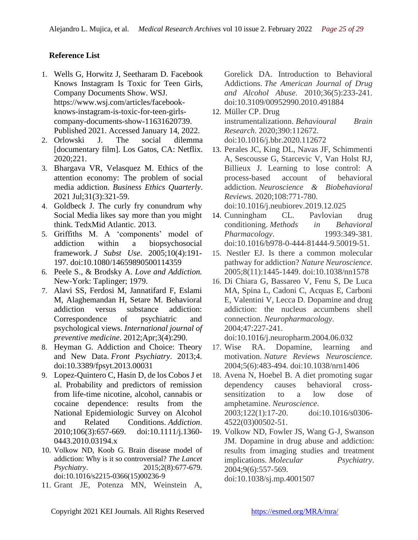## **Reference List**

- 1. Wells G, Horwitz J, Seetharam D. Facebook Knows Instagram Is Toxic for Teen Girls, Company Documents Show. WSJ. https://www.wsj.com/articles/facebookknows-instagram-is-toxic-for-teen-girlscompany-documents-show-11631620739. Published 2021. Accessed January 14, 2022.
- 2. Orlowski J. The social dilemma [documentary film]. Los Gatos, CA: Netflix. 2020;221.
- 3. Bhargava VR, Velasquez M. Ethics of the attention economy: The problem of social media addiction. *Business Ethics Quarterly*. 2021 Jul;31(3):321-59.
- 4. Goldbeck J. The curly fry conundrum why Social Media likes say more than you might think. TedxMid Atlantic. 2013.
- 5. Griffiths M. A 'components' model of addiction within a biopsychosocial framework. *J Subst Use*. 2005;10(4):191- 197. doi:10.1080/14659890500114359
- 6. Peele S., & Brodsky A. *Love and Addiction.*  New-York: Taplinger; 1979.
- 7. Alavi SS, Ferdosi M, Jannatifard F, Eslami M, Alaghemandan H, Setare M. Behavioral addiction versus substance addiction: Correspondence of psychiatric and psychological views. *International journal of preventive medicine*. 2012;Apr;3(4):290.
- 8. Heyman G. Addiction and Choice: Theory and New Data. *Front Psychiatry*. 2013;4. doi:10.3389/fpsyt.2013.00031
- 9. Lopez-Quintero C, Hasin D, de los Cobos J et al. Probability and predictors of remission from life-time nicotine, alcohol, cannabis or cocaine dependence: results from the National Epidemiologic Survey on Alcohol and Related Conditions. *Addiction*. 2010;106(3):657-669. doi:10.1111/j.1360- 0443.2010.03194.x
- 10. Volkow ND, Koob G. Brain disease model of addiction: Why is it so controversial? *The Lancet Psychiatry*. 2015;2(8):677-679. doi:10.1016/s2215-0366(15)00236-9
- 11. Grant JE, Potenza MN, Weinstein A,

Gorelick DA. Introduction to Behavioral Addictions. *The American Journal of Drug and Alcohol Abuse*. 2010;36(5):233-241. doi:10.3109/00952990.2010.491884

- 12. Müller CP. Drug instrumentalizationn. *Behavioural Brain Research*. 2020;390:112672. doi:10.1016/j.bbr.2020.112672
- 13. Perales JC, King DL, Navas JF, Schimmenti A, Sescousse G, Starcevic V, Van Holst RJ, Billieux J. Learning to lose control: A process-based account of behavioral addiction. *Neuroscience & Biobehavioral Reviews*. 2020;108:771-780. doi:10.1016/j.neubiorev.2019.12.025
- 14. Cunningham CL. Pavlovian drug conditioning. *Methods in Behavioral Pharmacology*. 1993:349-381. doi:10.1016/b978-0-444-81444-9.50019-51.
- 15. Nestler EJ. Is there a common molecular pathway for addiction? *Nature Neuroscience*. 2005;8(11):1445-1449. doi:10.1038/nn1578
- 16. Di Chiara G, Bassareo V, Fenu S, De Luca MA, Spina L, Cadoni C, Acquas E, Carboni E, Valentini V, Lecca D. Dopamine and drug addiction: the nucleus accumbens shell connection. *Neuropharmacology*. 2004;47:227-241.

doi:10.1016/j.neuropharm.2004.06.032

- 17. Wise RA. Dopamine, learning and motivation. *Nature Reviews Neuroscience*. 2004;5(6):483-494. doi:10.1038/nrn1406
- 18. Avena N, Hoebel B. A diet promoting sugar dependency causes behavioral crosssensitization to a low dose of amphetamine. *Neuroscience*. 2003;122(1):17-20. doi:10.1016/s0306- 4522(03)00502-51.
- 19. Volkow ND, Fowler JS, Wang G-J, Swanson JM. Dopamine in drug abuse and addiction: results from imaging studies and treatment implications. *Molecular Psychiatry*. 2004;9(6):557-569. doi:10.1038/sj.mp.4001507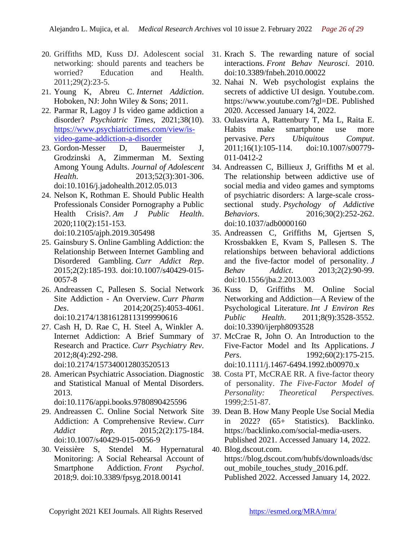- 20. Griffiths MD, Kuss DJ. Adolescent social networking: should parents and teachers be worried? Education and Health. 2011;29(2):23-5.
- 21. Young K, Abreu C. *Internet Addiction*. Hoboken, NJ: John Wiley & Sons; 2011.
- 22. Parmar R, Lagoy J Is video game addiction a disorder? *Psychiatric Times*, 2021;38(10). [https://www.psychiatrictimes.com/view/is](https://www.psychiatrictimes.com/view/is-video-game-addiction-a-disorder)[video-game-addiction-a-disorder](https://www.psychiatrictimes.com/view/is-video-game-addiction-a-disorder)
- 23. Gordon-Messer D, Bauermeister J, Grodzinski A, Zimmerman M. Sexting Among Young Adults. *Journal of Adolescent Health*. 2013;52(3):301-306. doi:10.1016/j.jadohealth.2012.05.013
- 24. Nelson K, Rothman E. Should Public Health Professionals Consider Pornography a Public Health Crisis?. *Am J Public Health*. 2020;110(2):151-153. doi:10.2105/ajph.2019.305498
- 25. Gainsbury S. Online Gambling Addiction: the Relationship Between Internet Gambling and Disordered Gambling. *Curr Addict Rep*. 2015;2(2):185-193. doi:10.1007/s40429-015- 0057-8
- 26. Andreassen C, Pallesen S. Social Network Site Addiction - An Overview. *Curr Pharm Des*. 2014;20(25):4053-4061. doi:10.2174/13816128113199990616
- 27. Cash H, D. Rae C, H. Steel A, Winkler A. Internet Addiction: A Brief Summary of Research and Practice. *Curr Psychiatry Rev*. 2012;8(4):292-298. doi:10.2174/157340012803520513
- 28. American Psychiatric Association. Diagnostic and Statistical Manual of Mental Disorders. 2013.

doi:10.1176/appi.books.9780890425596

- 29. Andreassen C. Online Social Network Site Addiction: A Comprehensive Review. *Curr Addict Rep*. 2015;2(2):175-184. doi:10.1007/s40429-015-0056-9
- 30. Veissière S, Stendel M. Hypernatural Monitoring: A Social Rehearsal Account of Smartphone Addiction. *Front Psychol*. 2018;9. doi:10.3389/fpsyg.2018.00141
- 31. Krach S. The rewarding nature of social interactions. *Front Behav Neurosci*. 2010. doi:10.3389/fnbeh.2010.00022
- 32. Nahai N. Web psychologist explains the secrets of addictive UI design. Youtube.com. https://www.youtube.com/?gl=DE. Published 2020. Accessed January 14, 2022.
- 33. Oulasvirta A, Rattenbury T, Ma L, Raita E. Habits make smartphone use more pervasive. *Pers Ubiquitous Comput*. 2011;16(1):105-114. doi:10.1007/s00779- 011-0412-2
- 34. Andreassen C, Billieux J, Griffiths M et al. The relationship between addictive use of social media and video games and symptoms of psychiatric disorders: A large-scale crosssectional study. *Psychology of Addictive Behaviors*. 2016;30(2):252-262. doi:10.1037/adb0000160
- 35. Andreassen C, Griffiths M, Gjertsen S, Krossbakken E, Kvam S, Pallesen S. The relationships between behavioral addictions and the five-factor model of personality. *J Behav Addict*. 2013;2(2):90-99. doi:10.1556/jba.2.2013.003
- 36. Kuss D, Griffiths M. Online Social Networking and Addiction—A Review of the Psychological Literature. *Int J Environ Res Public Health*. 2011;8(9):3528-3552. doi:10.3390/ijerph8093528
- 37. McCrae R, John O. An Introduction to the Five-Factor Model and Its Applications. *J Pers.* 1992;60(2):175-215. doi:10.1111/j.1467-6494.1992.tb00970.x
- 38. Costa PT, McCRAE RR. A five-factor theory of personality. *The Five-Factor Model of Personality: Theoretical Perspectives.* 1999;2:51-87.
- 39. Dean B. How Many People Use Social Media in 2022? (65+ Statistics). Backlinko. https://backlinko.com/social-media-users. Published 2021. Accessed January 14, 2022.
- 40. Blog.dscout.com. https://blog.dscout.com/hubfs/downloads/dsc out\_mobile\_touches\_study\_2016.pdf. Published 2022. Accessed January 14, 2022.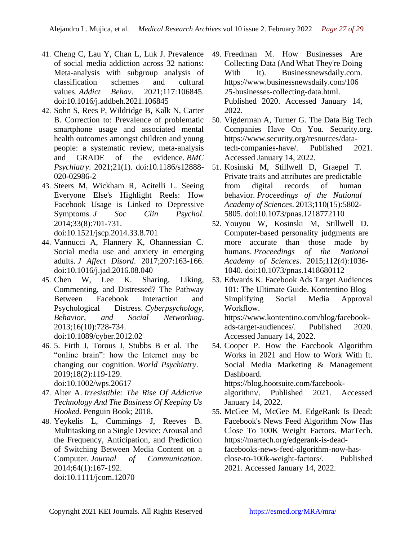- 41. Cheng C, Lau Y, Chan L, Luk J. Prevalence of social media addiction across 32 nations: Meta-analysis with subgroup analysis of classification schemes and cultural values. *Addict Behav*. 2021;117:106845. doi:10.1016/j.addbeh.2021.106845
- 42. Sohn S, Rees P, Wildridge B, Kalk N, Carter B. Correction to: Prevalence of problematic smartphone usage and associated mental health outcomes amongst children and young people: a systematic review, meta-analysis and GRADE of the evidence. *BMC Psychiatry*. 2021;21(1). doi:10.1186/s12888- 020-02986-2
- 43. Steers M, Wickham R, Acitelli L. Seeing Everyone Else's Highlight Reels: How Facebook Usage is Linked to Depressive Symptoms. *J Soc Clin Psychol*. 2014;33(8):701-731. doi:10.1521/jscp.2014.33.8.701
- 44. Vannucci A, Flannery K, Ohannessian C. Social media use and anxiety in emerging adults. *J Affect Disord*. 2017;207:163-166. doi:10.1016/j.jad.2016.08.040
- 45. Chen W, Lee K. Sharing, Liking, Commenting, and Distressed? The Pathway Between Facebook Interaction and Psychological Distress. *Cyberpsychology, Behavior, and Social Networking*. 2013;16(10):728-734. doi:10.1089/cyber.2012.02
- 46. 5. Firth J, Torous J, Stubbs B et al. The "online brain": how the Internet may be changing our cognition. *World Psychiatry*. 2019;18(2):119-129. doi:10.1002/wps.20617
- 47. Alter A. *Irresistible: The Rise Of Addictive Technology And The Business Of Keeping Us Hooked.* Penguin Book; 2018.
- 48. Yeykelis L, Cummings J, Reeves B. Multitasking on a Single Device: Arousal and the Frequency, Anticipation, and Prediction of Switching Between Media Content on a Computer. *Journal of Communication*. 2014;64(1):167-192. doi:10.1111/jcom.12070
- 49. Freedman M. How Businesses Are Collecting Data (And What They're Doing With It). Businessnewsdaily.com. https://www.businessnewsdaily.com/106 25-businesses-collecting-data.html. Published 2020. Accessed January 14, 2022.
- 50. Vigderman A, Turner G. The Data Big Tech Companies Have On You. Security.org. https://www.security.org/resources/datatech-companies-have/. Published 2021. Accessed January 14, 2022.
- 51. Kosinski M, Stillwell D, Graepel T. Private traits and attributes are predictable from digital records of human behavior. *Proceedings of the National Academy of Sciences*. 2013;110(15):5802- 5805. doi:10.1073/pnas.1218772110
- 52. Youyou W, Kosinski M, Stillwell D. Computer-based personality judgments are more accurate than those made by humans. *Proceedings of the National Academy of Sciences*. 2015;112(4):1036- 1040. doi:10.1073/pnas.1418680112
- 53. Edwards K. Facebook Ads Target Audiences 101: The Ultimate Guide. Kontentino Blog – Simplifying Social Media Approval Workflow.

https://www.kontentino.com/blog/facebookads-target-audiences/. Published 2020. Accessed January 14, 2022.

54. Cooper P. How the Facebook Algorithm Works in 2021 and How to Work With It. Social Media Marketing & Management Dashboard.

https://blog.hootsuite.com/facebook-

algorithm/. Published 2021. Accessed January 14, 2022.

55. McGee M, McGee M. EdgeRank Is Dead: Facebook's News Feed Algorithm Now Has Close To 100K Weight Factors. MarTech. https://martech.org/edgerank-is-deadfacebooks-news-feed-algorithm-now-hasclose-to-100k-weight-factors/. Published 2021. Accessed January 14, 2022.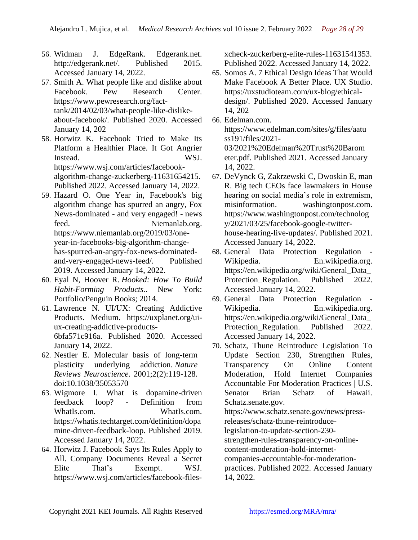- 56. Widman J. EdgeRank. Edgerank.net. http://edgerank.net/. Published 2015. Accessed January 14, 2022.
- 57. Smith A. What people like and dislike about Facebook. Pew Research Center. https://www.pewresearch.org/facttank/2014/02/03/what-people-like-dislikeabout-facebook/. Published 2020. Accessed January 14, 202
- 58. Horwitz K. Facebook Tried to Make Its Platform a Healthier Place. It Got Angrier Instead. WSJ. https://www.wsj.com/articles/facebookalgorithm-change-zuckerberg-11631654215. Published 2022. Accessed January 14, 2022.
- 59. Hazard O. One Year in, Facebook's big algorithm change has spurred an angry, Fox News-dominated - and very engaged! - news feed. Niemanlab.org. https://www.niemanlab.org/2019/03/oneyear-in-facebooks-big-algorithm-changehas-spurred-an-angry-fox-news-dominatedand-very-engaged-news-feed/. Published 2019. Accessed January 14, 2022.
- 60. Eyal N, Hoover R. *Hooked: How To Build Habit-Forming Products.*. New York: Portfolio/Penguin Books; 2014.
- 61. Lawrence N. UI/UX: Creating Addictive Products. Medium. https://uxplanet.org/uiux-creating-addictive-products-6bfa571c916a. Published 2020. Accessed January 14, 2022.
- 62. Nestler E. Molecular basis of long-term plasticity underlying addiction. *Nature Reviews Neuroscience*. 2001;2(2):119-128. doi:10.1038/35053570
- 63. Wigmore I. What is dopamine-driven feedback loop? - Definition from WhatIs.com. WhatIs.com. https://whatis.techtarget.com/definition/dopa mine-driven-feedback-loop. Published 2019. Accessed January 14, 2022.
- 64. Horwitz J. Facebook Says Its Rules Apply to All. Company Documents Reveal a Secret Elite That's Exempt. WSJ. https://www.wsj.com/articles/facebook-files-

xcheck-zuckerberg-elite-rules-11631541353. Published 2022. Accessed January 14, 2022.

- 65. Somos A. 7 Ethical Design Ideas That Would Make Facebook A Better Place. UX Studio. https://uxstudioteam.com/ux-blog/ethicaldesign/. Published 2020. Accessed January 14, 202
- 66. Edelman.com. https://www.edelman.com/sites/g/files/aatu ss191/files/2021- 03/2021%20Edelman%20Trust%20Barom eter.pdf. Published 2021. Accessed January 14, 2022.
- 67. DeVynck G, Zakrzewski C, Dwoskin E, man R. Big tech CEOs face lawmakers in House hearing on social media's role in extremism, misinformation. washingtonpost.com. https://www.washingtonpost.com/technolog y/2021/03/25/facebook-google-twitterhouse-hearing-live-updates/. Published 2021. Accessed January 14, 2022.
- 68. General Data Protection Regulation Wikipedia. En.wikipedia.org. https://en.wikipedia.org/wiki/General\_Data\_ Protection\_Regulation. Published 2022. Accessed January 14, 2022.
- 69. General Data Protection Regulation Wikipedia. En.wikipedia.org. https://en.wikipedia.org/wiki/General\_Data\_ Protection Regulation. Published 2022. Accessed January 14, 2022.
- 70. Schatz, Thune Reintroduce Legislation To Update Section 230, Strengthen Rules, Transparency On Online Content Moderation, Hold Internet Companies Accountable For Moderation Practices | U.S. Senator Brian Schatz of Hawaii. Schatz.senate.gov. https://www.schatz.senate.gov/news/pressreleases/schatz-thune-reintroducelegislation-to-update-section-230 strengthen-rules-transparency-on-onlinecontent-moderation-hold-internetcompanies-accountable-for-moderationpractices. Published 2022. Accessed January 14, 2022.